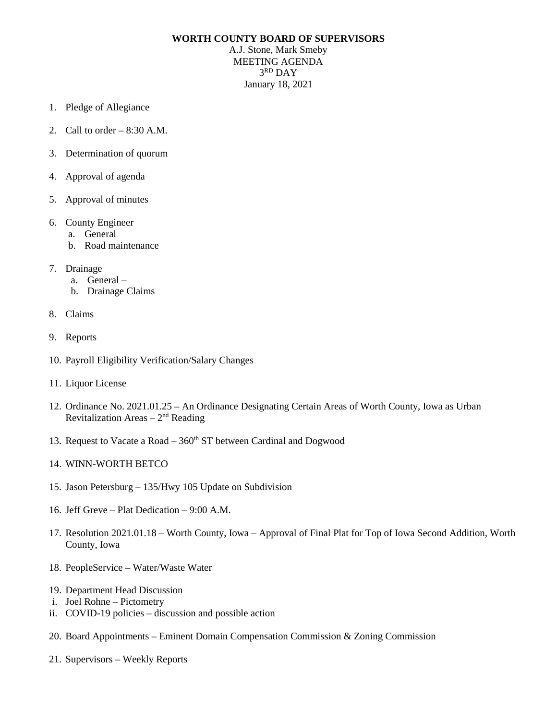## **WORTH COUNTY BOARD OF SUPERVISORS**

A.J. Stone, Mark Smeby MEETING AGENDA 3RD DAY January 18, 2021

- 1. Pledge of Allegiance
- 2. Call to order 8:30 A.M.
- 3. Determination of quorum
- 4. Approval of agenda
- 5. Approval of minutes
- 6. County Engineer
	- a. General
	- b. Road maintenance
- 7. Drainage
	- a. General –
	- b. Drainage Claims
- 8. Claims
- 9. Reports
- 10. Payroll Eligibility Verification/Salary Changes
- 11. Liquor License
- 12. Ordinance No. 2021.01.25 An Ordinance Designating Certain Areas of Worth County, Iowa as Urban Revitalization Areas – 2nd Reading
- 13. Request to Vacate a Road  $-360<sup>th</sup>$  ST between Cardinal and Dogwood
- 14. WINN-WORTH BETCO
- 15. Jason Petersburg 135/Hwy 105 Update on Subdivision
- 16. Jeff Greve Plat Dedication 9:00 A.M.
- 17. Resolution 2021.01.18 Worth County, Iowa Approval of Final Plat for Top of Iowa Second Addition, Worth County, Iowa
- 18. PeopleService Water/Waste Water
- 19. Department Head Discussion
- i. Joel Rohne Pictometry
- ii. COVID-19 policies discussion and possible action
- 20. Board Appointments Eminent Domain Compensation Commission & Zoning Commission
- 21. Supervisors Weekly Reports